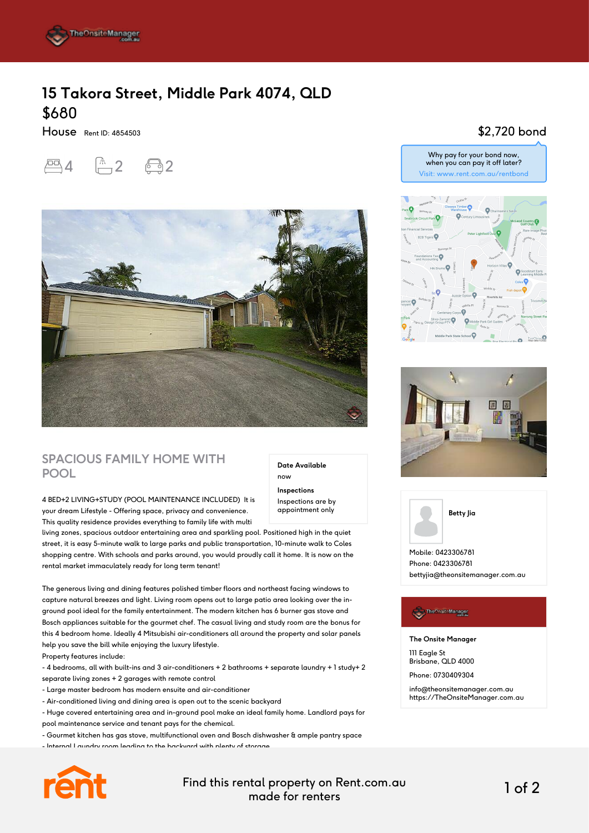

# **15 Takora Street, Middle Park 4074, QLD** \$680

House Rent ID: 4854503

 $\overline{2}$  4  $\overline{2}$ 



## **SPACIOUS FAMILY HOME WITH POOL**

#### 4 BED+2 LIVING+STUDY (POOL MAINTENANCE INCLUDED) It is

your dream Lifestyle - Offering space, privacy and convenience. This quality residence provides everything to family life with multi

living zones, spacious outdoor entertaining area and sparkling pool. Positioned high in the quiet street, it is easy 5-minute walk to large parks and public transportation, 10-minute walk to Coles shopping centre. With schools and parks around, you would proudly call it home. It is now on the rental market immaculately ready for long term tenant!

The generous living and dining features polished timber floors and northeast facing windows to capture natural breezes and light. Living room opens out to large patio area looking over the inground pool ideal for the family entertainment. The modern kitchen has 6 burner gas stove and Bosch appliances suitable for the gourmet chef. The casual living and study room are the bonus for this 4 bedroom home. Ideally 4 Mitsubishi air-conditioners all around the property and solar panels help you save the bill while enjoying the luxury lifestyle.

Property features include:

- 4 bedrooms, all with built-ins and 3 air-conditioners + 2 bathrooms + separate laundry + 1 study+ 2 separate living zones + 2 garages with remote control

- Large master bedroom has modern ensuite and air-conditioner
- Air-conditioned living and dining area is open out to the scenic backyard

- Huge covered entertaining area and in-ground pool make an ideal family home. Landlord pays for pool maintenance service and tenant pays for the chemical.

- Gourmet kitchen has gas stove, multifunctional oven and Bosch dishwasher & ample pantry space

- Internal Laundry room leading to the backyard with plenty of storage



Find this rental property on Rent.com.au made for renters 1 of 2

**Date Available**

now **Inspections** Inspections are by appointment only

### \$2,720 bond







Phone: 0423306781 bettyjia@theonsitemanager.com.au

#### The Onsite Manager

**The Onsite Manager**

111 Eagle St Brisbane, QLD 4000

Phone: 0730409304

info@theonsitemanager.com.au https://TheOnsiteManager.com.au